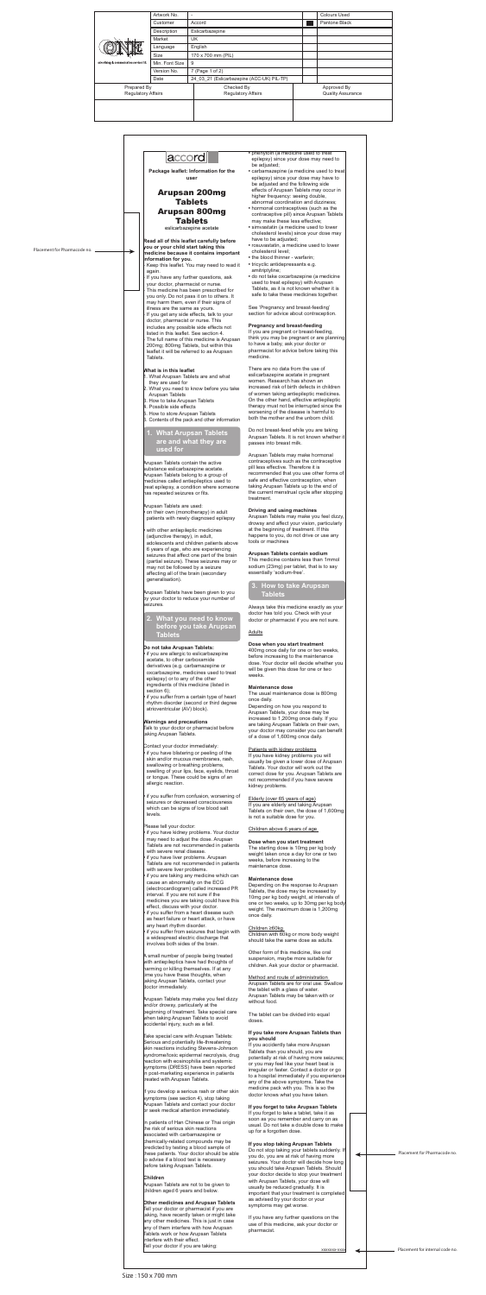

**Package leaflet: Information for the user**

# Arupsan 200mg Tablets Arupsan 800mg

Tablets

eslicarbazepine acetate

**Read all of this leaflet carefully before you or your child start taking this medicine because it contains important information for you.**

- 1. What Arupsan Tablets are and what they are used for
- 2. What you need to know before you take Arupsan Tablets
- 3. How to take Arupsan Tablets
- 4. Possible side effects
- 5. How to store Arupsan Tablets
- 6. Contents of the pack and other information
- Keep this leaflet. You may need to read it again.
- If you have any further questions, ask your doctor, pharmacist or nurse.
- This medicine has been prescribed for you only. Do not pass it on to others. It may harm them, even if their signs of illness are the same as yours.
- If you get any side effects, talk to your doctor, pharmacist or nurse. This includes any possible side effects not listed in this leaflet. See section 4. The full name of this medicine is Arupsan 200mg; 800mg Tablets, but within this leaflet it will be referred to as Arupsan Tablets.

### **What is in this leaflet**

## **1. What Arupsan Tablets are and what they are used for**

Arupsan Tablets contain the active substance eslicarbazepine acetate. Arupsan Tablets belong to a group of medicines called antiepileptics used to treat epilepsy, a condition where someone has repeated seizures or fits.

Arupsan Tablets are used:

**•** on their own (monotherapy) in adult patients with newly diagnosed epilepsy

**•** with other antiepileptic medicines (adjunctive therapy), in adult, adolescents and children patients above 6 years of age, who are experiencing seizures that affect one part of the brain (partial seizure). These seizures may or may not be followed by a seizure affecting all of the brain (secondary generalisation).

Arupsan Tablets have been given to you by your doctor to reduce your number of seizures.

# **2. What you need to know before you take Arupsan Tablets**

### **Do not take Arupsan Tablets:**

If you develop a serious rash or other skin symptoms (see section 4), stop taking Arupsan Tablets and contact your doctor or seek medical attention immediately.

**•** if you are allergic to eslicarbazepine acetate, to other carboxamide derivatives (e.g. carbamazepine or oxcarbazepine, medicines used to treat epilepsy) or to any of the other ingredients of this medicine (listed in section 6); **•** if you suffer from a certain type of heart rhythm disorder (second or third degree atrioventricular (AV) block).

In patients of Han Chinese or Thai origin the risk of serious skin reactions associated with carbamazepine or chemically-related compounds may be predicted by testing a blood sample of these patients. Your doctor should be able to advise if a blood test is necessary before taking Arupsan Tablets.

#### **Warnings and precautions**

Talk to your doctor or pharmacist before taking Arupsan Tablets.

Contact your doctor immediately:

**•** if you have blistering or peeling of the skin and/or mucous membranes, rash, swallowing or breathing problems, swelling of your lips, face, eyelids, throat or tongue. These could be signs of an allergic reaction.

**•** if you suffer from confusion, worsening of seizures or decreased consciousness which can be signs of low blood salt levels.

Please tell your doctor:

- if you have kidney problems. Your doctor may need to adjust the dose. Arupsan Tablets are not recommended in patients with severe renal disease.
- if you have liver problems. Arupsan Tablets are not recommended in patients with severe liver problems.
- if you are taking any medicine which can cause an abnormality on the ECG (electrocardiogram) called increased PR interval. If you are not sure if the medicines you are taking could have this effect, discuss with your doctor.
- if you suffer from a heart disease such as heart failure or heart attack, or have any heart rhythm disorder.
- if you suffer from seizures that begin with a widespread electric discharge that involves both sides of the brain.

A small number of people being treated with antiepileptics have had thoughts of harming or killing themselves. If at any time you have these thoughts, when taking Arupsan Tablets, contact your doctor immediately.

Arupsan Tablets may make you feel dizzy and/or drowsy, particularly at the beginning of treatment. Take special care when taking Arupsan Tablets to avoid accidental injury, such as a fall.

Take special care with Arupsan Tablets: Serious and potentially life-threatening skin reactions including Stevens-Johnson syndrome/toxic epidermal necrolysis, drug reaction with eosinophilia and systemic symptoms (DRESS) have been reported in post-marketing experience in patients treated with Arupsan Tablets.

#### **Children**

Arupsan Tablets are not to be given to children aged 6 years and below.

**Other medicines and Arupsan Tablets**  Tell your doctor or pharmacist if you are taking, have recently taken or might take any other medicines. This is just in case any of them interfere with how Arupsan Tablets work or how Arupsan Tablets interfere with their effect.

Tell your doctor if you are taking:

- phenytoin (a medicine used to treat epilepsy) since your dose may need to be adjusted:
- carbamazepine (a medicine used to treat epilepsy) since your dose may have to be adjusted and the following side effects of Arupsan Tablets may occur in higher frequency: seeing double, abnormal coordination and dizziness;
- hormonal contraceptives (such as the contraceptive pill) since Arupsan Tablets may make these less effective;
- simvastatin (a medicine used to lower cholesterol levels) since your dose may have to be adjusted;
- rosuvastatin, a medicine used to lower cholesterol level;
- the blood thinner warfarin;
- tricyclic antidepressants e.g. amitriptyline;
- do not take oxcarbazepine (a medicine used to treat epilepsy) with Arupsan Tablets, as it is not known whether it is safe to take these medicines together.

See 'Pregnancy and breast-feeding' section for advice about contraception.

### **Pregnancy and breast-feeding**

If you are pregnant or breast-feeding, think you may be pregnant or are planning to have a baby, ask your doctor or pharmacist for advice before taking this medicine.

There are no data from the use of eslicarbazepine acetate in pregnant women. Research has shown an increased risk of birth defects in children of women taking antiepileptic medicines. On the other hand, effective antiepileptic therapy must not be interrupted since the worsening of the disease is harmful to both the mother and the unborn child.

Do not breast-feed while you are taking Arupsan Tablets. It is not known whether it passes into breast milk.

Arupsan Tablets may make hormonal contraceptives such as the contraceptive pill less effective. Therefore it is recommended that you use other forms of safe and effective contraception, when taking Arupsan Tablets up to the end of the current menstrual cycle after stopping treatment.

### **Driving and using machines**

Arupsan Tablets may make you feel dizzy, drowsy and affect your vision, particularly at the beginning of treatment. If this happens to you, do not drive or use any tools or machines

### **Arupsan Tablets contain sodium**

This medicine contains less than 1mmol sodium (23mg) per tablet, that is to say essentially 'sodium-free'.

# **3. How to take Arupsan Tablets**

Always take this medicine exactly as your doctor has told you. Check with your doctor or pharmacist if you are not sure.

### **Adults**

### **Dose when you start treatment**

400mg once daily for one or two weeks, before increasing to the maintenance dose. Your doctor will decide whether you will be given this dose for one or two weeks.

### **Maintenance dose**

The usual maintenance dose is 800mg once daily.

Depending on how you respond to Arupsan Tablets, your dose may be increased to 1,200mg once daily. If you are taking Arupsan Tablets on their own, your doctor may consider you can benefit of a dose of 1,600mg once daily.

#### Patients with kidney problems

If you have kidney problems you will usually be given a lower dose of Arupsan Tablets. Your doctor will work out the correct dose for you. Arupsan Tablets are not recommended if you have severe kidney problems.

Elderly (over 65 years of age) If you are elderly and taking Arupsan Tablets on their own, the dose of 1,600mg is not a suitable dose for you.

Children above 6 years of age

#### **Dose when you start treatment**

The starting dose is 10mg per kg body weight taken once a day for one or two weeks, before increasing to the maintenance dose.

#### **Maintenance dose**

Depending on the response to Arupsan Tablets, the dose may be increased by 10mg per kg body weight, at intervals of one or two weeks, up to 30mg per kg body weight. The maximum dose is 1,200mg once daily.

#### Children ≥60kg

Children with 60kg or more body weight should take the same dose as adults.

Other form of this medicine, like oral suspension, maybe more suitable for children. Ask your doctor or pharmacist.

Method and route of administration Arupsan Tablets are for oral use. Swallow the tablet with a glass of water. Arupsan Tablets may be taken with or without food.

The tablet can be divided into equal doses.

#### **If you take more Arupsan Tablets than you should**

If you accidently take more Arupsan Tablets than you should, you are potentially at risk of having more seizures; or you may feel like your heart beat is irregular or faster. Contact a doctor or go to a hospital immediately if you experience any of the above symptoms. Take the medicine pack with you. This is so the doctor knows what you have taken.

### **If you forget to take Arupsan Tablets**

If you forget to take a tablet, take it as soon as you remember and carry on as usual. Do not take a double dose to make up for a forgotten dose.

### **If you stop taking Arupsan Tablets**

Do not stop taking your tablets suddenly. If you do, you are at risk of having more seizures. Your doctor will decide how long you should take Arupsan Tablets. Should yur doctor decide to stop your tr with Arupsan Tablets, your dose will usually be reduced gradually. It is important that your treatment is completed as advised by your doctor or your symptoms may get worse.

If you have any further questions on the use of this medicine, ask your doctor or pharmacist.

xxxxxxx-xxxx